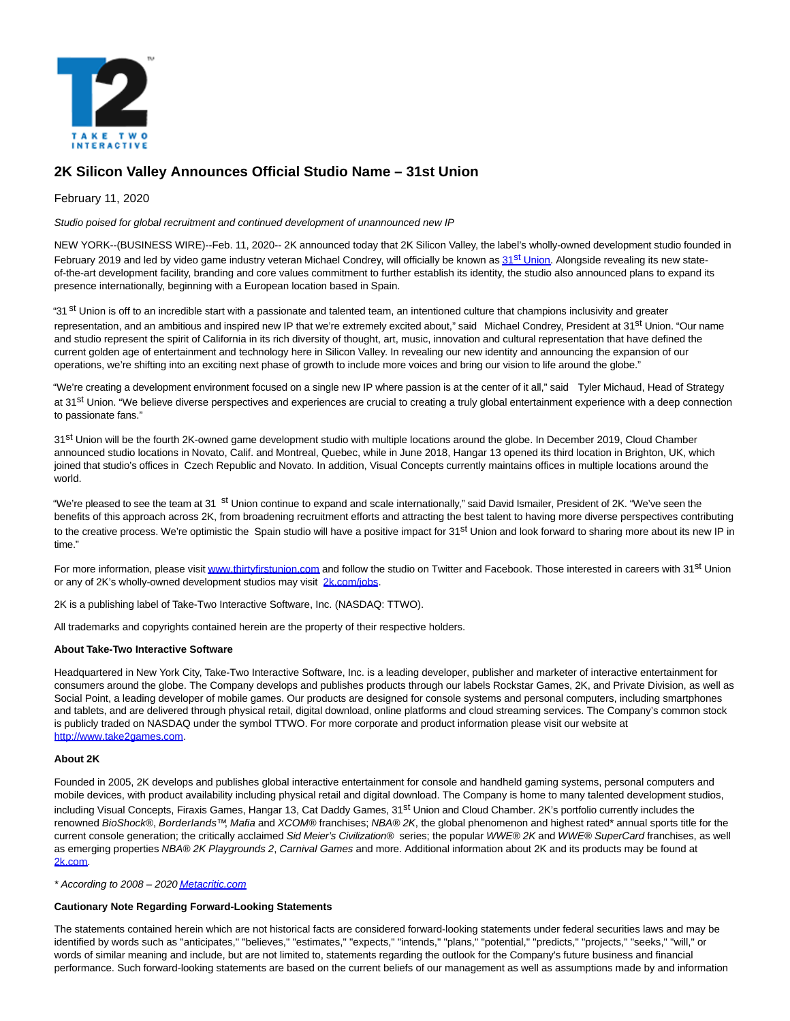

# **2K Silicon Valley Announces Official Studio Name – 31st Union**

## February 11, 2020

Studio poised for global recruitment and continued development of unannounced new IP

NEW YORK--(BUSINESS WIRE)--Feb. 11, 2020-- 2K announced today that 2K Silicon Valley, the label's wholly-owned development studio founded in February 2019 and led by video game industry veteran Michael Condrey, will officially be known as 31<sup>st</sup> [Union.](https://cts.businesswire.com/ct/CT?id=smartlink&url=http%3A%2F%2Fwww.thirtyfirstunion.com&esheet=52171638&newsitemid=20200211005234&lan=en-US&anchor=31st+Union&index=1&md5=d65ab32ae34a93445c61bb6aca9539f5) Alongside revealing its new stateof-the-art development facility, branding and core values commitment to further establish its identity, the studio also announced plans to expand its presence internationally, beginning with a European location based in Spain.

"31 <sup>st</sup> Union is off to an incredible start with a passionate and talented team, an intentioned culture that champions inclusivity and greater representation, and an ambitious and inspired new IP that we're extremely excited about," said Michael Condrey, President at 31<sup>st</sup> Union. "Our name and studio represent the spirit of California in its rich diversity of thought, art, music, innovation and cultural representation that have defined the current golden age of entertainment and technology here in Silicon Valley. In revealing our new identity and announcing the expansion of our operations, we're shifting into an exciting next phase of growth to include more voices and bring our vision to life around the globe."

"We're creating a development environment focused on a single new IP where passion is at the center of it all," said Tyler Michaud, Head of Strategy at 31<sup>st</sup> Union. "We believe diverse perspectives and experiences are crucial to creating a truly global entertainment experience with a deep connection to passionate fans."

31st Union will be the fourth 2K-owned game development studio with multiple locations around the globe. In December 2019, Cloud Chamber announced studio locations in Novato, Calif. and Montreal, Quebec, while in June 2018, Hangar 13 opened its third location in Brighton, UK, which joined that studio's offices in Czech Republic and Novato. In addition, Visual Concepts currently maintains offices in multiple locations around the world.

"We're pleased to see the team at 31 st Union continue to expand and scale internationally," said David Ismailer, President of 2K. "We've seen the benefits of this approach across 2K, from broadening recruitment efforts and attracting the best talent to having more diverse perspectives contributing to the creative process. We're optimistic the Spain studio will have a positive impact for 31<sup>st</sup> Union and look forward to sharing more about its new IP in time."

For more information, please visi[t www.thirtyfirstunion.com a](https://cts.businesswire.com/ct/CT?id=smartlink&url=http%3A%2F%2Fwww.thirtyfirstunion.com&esheet=52171638&newsitemid=20200211005234&lan=en-US&anchor=www.thirtyfirstunion.com&index=2&md5=032b6e5658d3170d53e70f16efa9d413)nd follow the studio on Twitter and Facebook. Those interested in careers with 31<sup>st</sup> Union or any of 2K's wholly-owned development studios may visit [2k.com/jobs.](https://cts.businesswire.com/ct/CT?id=smartlink&url=https%3A%2F%2F2k.com%2Fen-US%2Fjobs%2F&esheet=52171638&newsitemid=20200211005234&lan=en-US&anchor=2k.com%2Fjobs&index=3&md5=fd175d73edbeecb27c5ef79587fcd4f5)

2K is a publishing label of Take-Two Interactive Software, Inc. (NASDAQ: TTWO).

All trademarks and copyrights contained herein are the property of their respective holders.

#### **About Take-Two Interactive Software**

Headquartered in New York City, Take-Two Interactive Software, Inc. is a leading developer, publisher and marketer of interactive entertainment for consumers around the globe. The Company develops and publishes products through our labels Rockstar Games, 2K, and Private Division, as well as Social Point, a leading developer of mobile games. Our products are designed for console systems and personal computers, including smartphones and tablets, and are delivered through physical retail, digital download, online platforms and cloud streaming services. The Company's common stock is publicly traded on NASDAQ under the symbol TTWO. For more corporate and product information please visit our website at [http://www.take2games.com.](https://cts.businesswire.com/ct/CT?id=smartlink&url=http%3A%2F%2Fwww.take2games.com&esheet=52171638&newsitemid=20200211005234&lan=en-US&anchor=http%3A%2F%2Fwww.take2games.com&index=4&md5=e1316974fe1aea69541b29477fcc7fe3)

#### **About 2K**

Founded in 2005, 2K develops and publishes global interactive entertainment for console and handheld gaming systems, personal computers and mobile devices, with product availability including physical retail and digital download. The Company is home to many talented development studios, including Visual Concepts, Firaxis Games, Hangar 13, Cat Daddy Games, 31<sup>st</sup> Union and Cloud Chamber. 2K's portfolio currently includes the renowned BioShock®, Borderlands™, Mafia and XCOM® franchises; NBA® 2K, the global phenomenon and highest rated\* annual sports title for the current console generation; the critically acclaimed Sid Meier's Civilization® series; the popular WWE® 2K and WWE® SuperCard franchises, as well as emerging properties NBA® 2K Playgrounds 2, Carnival Games and more. Additional information about 2K and its products may be found at [2k.com.](https://cts.businesswire.com/ct/CT?id=smartlink&url=http%3A%2F%2Fwww.2k.com%2F&esheet=52171638&newsitemid=20200211005234&lan=en-US&anchor=2k.com&index=5&md5=e52d3fe50eadd86307bfbba726d8bb41)

\* According to 2008 - 202[0 Metacritic.com](https://cts.businesswire.com/ct/CT?id=smartlink&url=http%3A%2F%2Fwww.metacritic.com&esheet=52171638&newsitemid=20200211005234&lan=en-US&anchor=Metacritic.com&index=6&md5=894c6d0ffa3a4406b7b337c4bca244cc)

### **Cautionary Note Regarding Forward-Looking Statements**

The statements contained herein which are not historical facts are considered forward-looking statements under federal securities laws and may be identified by words such as "anticipates," "believes," "estimates," "expects," "intends," "plans," "potential," "predicts," "projects," "seeks," "will," or words of similar meaning and include, but are not limited to, statements regarding the outlook for the Company's future business and financial performance. Such forward-looking statements are based on the current beliefs of our management as well as assumptions made by and information